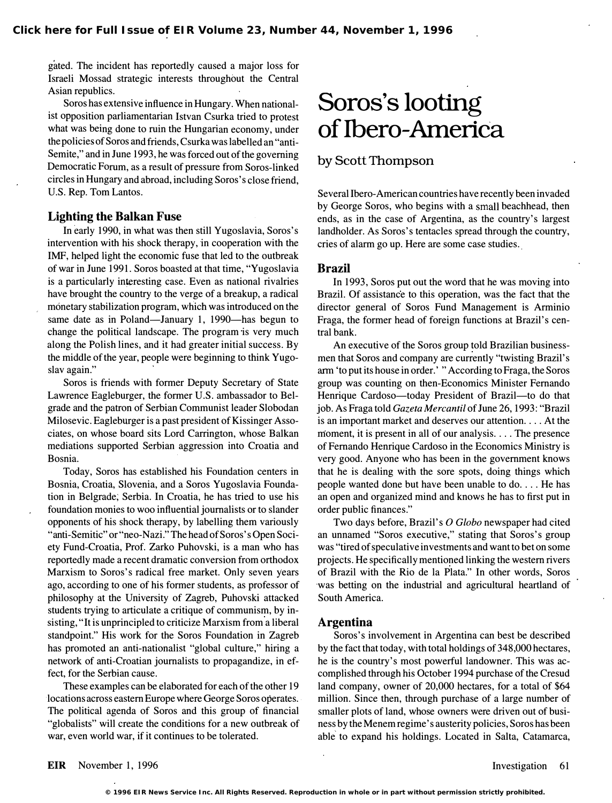gated. The incident has reportedly caused a major loss for Israeli Mossad strategic interests throughout the Central Asian republics.

Soros has extensive influence in Hungary. When nationalist opposition parliamentarian Istvan Csurka tried to protest what was being done to ruin the Hungarian economy, under the policies of Soros and friends, Csurka was labelled an "anti-Semite," and in June 1993, he was forced out of the governing Democratic Forum, as a result of pressure from Soros-linked circles in Hungary and abroad, including Soros' s close friend, U.S. Rep. Tom Lantos.

## Lighting the Balkan Fuse

In early 1990, in what was then still Yugoslavia, Soros's intervention with his shock therapy, in cooperation with the IMF, helped light the economic fuse that led to the outbreak of war in June 1991. Soros boasted at that time, "Yugoslavia is a particularly interesting case. Even as national rivalries have brought the country to the verge of a breakup, a radical monetary stabilization program, which was introduced on the same date as in Poland-January 1, 1990-has begun to change the political landscape. The program is very much along the Polish lines, and it had greater initial success. By the middle of the year, people were beginning to think Yugoslav again."

Soros is friends with former Deputy Secretary of State Lawrence Eagleburger, the former U.S. ambassador to Belgrade and the patron of Serbian Communist leader Slobodan Milosevic. Eagleburger is a past president of Kissinger Associates, on whose board sits Lord Carrington, whose Balkan mediations supported Serbian aggression into Croatia and Bosnia.

Today, Soros has established his Foundation centers in Bosnia, Croatia, Slovenia, and a Soros Yugoslavia Foundation in Belgrade, Serbia. In Croatia, he has tried to use his foundation monies to woo influential journalists or to slander opponents of his shock therapy, by labelling them variously "anti-Semitic" or "neo-Nazi." The head of Soros's Open Society Fund-Croatia, Prof. Zarko Puhovski, is a man who has reportedly made a recent dramatic conversion from orthodox Marxism to Soros's radical free market. Only seven years ago, according to one of his former students, as professor of philosophy at the University of Zagreb, Puhovski attacked students trying to articulate a critique of communism, by insisting, "It is unprincipled to criticize Marxism from a liberal standpoint." His work for the Soros Foundation in Zagreb has promoted an anti-nationalist "global culture," hiring a network of anti-Croatian journalists to propagandize, in effect, for the Serbian cause.

These examples can be elaborated for each of the other 19 locations across eastern Europe where George Soros operates .. The political agenda of Soros and this group of financial "globalists" will create the conditions for a new outbreak of war, even world war, if it continues to be tolerated.

# Soros's looting of Ibero-America

## by Scott Thompson

Several Ibero-American countries have recently been invaded by George Soros, who begins with a small beachhead, then ends, as in the case of Argentina, as the country's largest landholder. As Soros's tentacles spread through the country, cries of alarm go up. Here are some case studies.

## Brazil

In 1993, Soros put out the word that he was moving into Brazil. Of assistance to this operation, was the fact that the director general of Soros Fund Management is Arminio Fraga, the former head of foreign functions at Brazil's central bank.

An executive of the Soros group told Brazilian businessmen that Soros and company are currently "twisting Brazil's arm 'to put its house in order.' " According to Fraga, the Soros group was counting on then-Economics Minister Fernando Henrique Cardoso—today President of Brazil—to do that job. As Fraga told Gazeta Mercantil of June 26, 1993: "Brazil is an important market and deserves our attention .... At the moment, it is present in all of our analysis .... The presence of Fernando Henrique Cardoso in the Economics Ministry is very good. Anyone who has been in the government knows that he is dealing with the sore spots, doing things which people wanted done but have been unable to do.... He has an open and organized mind and knows he has to first put in order public finances."

Two days before, Brazil's O Globo newspaper had cited an unnamed "Soros executive," stating that Soros's group was "tired of speculative investments and want to bet on some projects. He specifically mentioned linking the western rivers of Brazil with the Rio de la Plata." In other words, Soros was betting on the industrial and agricultural heartland of South America.

### Argentina

Soros's involvement in Argentina can best be described by the fact that today, with total holdings of 348,000 hectares, he is the country's most powerful landowner. This was accomplished through his October 1994 purchase of the Cresud land company, owner of 20,000 hectares, for a total of \$64 million. Since then, through purchase of a large number of smaller plots of land, whose owners were driven out of business by the Menem regime's austerity policies, Soros has been able to expand his holdings. Located in Salta, Catamarca,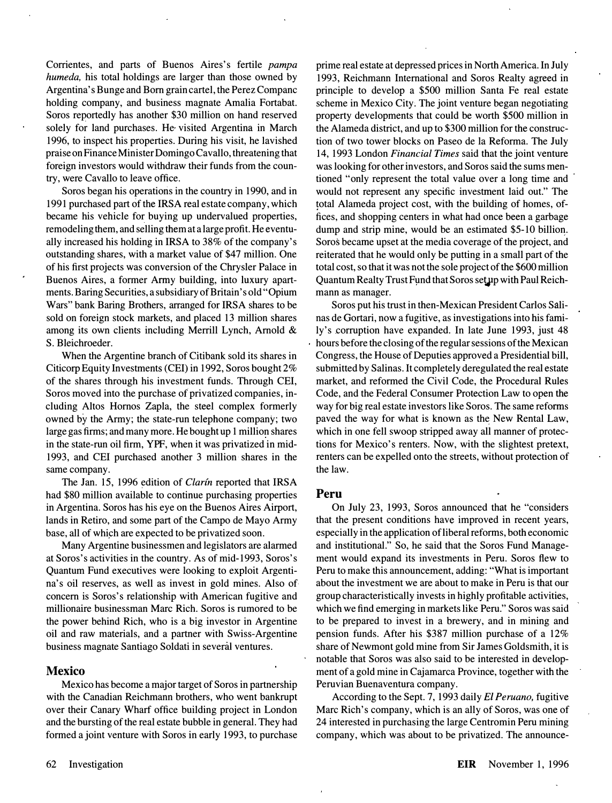Corrientes, and parts of Buenos Aires's fertile pampa humeda, his total holdings are larger than those owned by Argentina's Bunge and Born grain cartel, the Perez Companc holding company, and business magnate Amalia Fortabat. Soros reportedly has another \$30 million on hand reserved solely for land purchases. He visited Argentina in March 1996, to inspect his properties. During his visit, he lavished praise on Finance Minister Domingo Cavallo, threatening that foreign investors would withdraw their funds from the country, were Cavallo to leave office.

Soros began his operations in the country in 1990, and in 1991 purchased part of the IR SA real estate company, which became his vehicle for buying up undervalued properties, remodeling them, and selling them at a large profit. He eventually increased his holding in IR SA to 38% of the company's outstanding shares, with a market value of \$47 million. One of his first projects was conversion of the Chrysler Palace in Buenos Aires, a former Army building, into luxury apartments. Baring Securities, a subsidiary of Britain' s old "Opium Wars" bank Baring Brothers, arranged for IRSA shares to be sold on foreign stock markets, and placed 13 million shares among its own clients including Merrill Lynch, Arnold & S. Bleichroeder.

When the Argentine branch of Citibank sold its shares in Citicorp Equity Investments (CEI) in 1992, Soros bought  $2\%$ of the shares through his investment funds. Through CEI, Soros moved into the purchase of privatized companies, including Altos Homos Zapla, the steel complex formerly owned by the Army; the state-run telephone company; two large gas firms; and many more. He bought up 1 million shares in the state-run oil firm, YPF, when it was privatized in mid-1993, and CEI purchased another 3 million shares in the same company.

The Jan. 15, 1996 edition of Clarín reported that IRSA had \$80 million available to continue purchasing properties in Argentina. Soros has his eye on the Buenos Aires Airport, lands in Retiro, and some part of the Campo de Mayo Army base, all of which are expected to be privatized soon.

Many Argentine businessmen and legislators are alarmed at Soros's activities in the country. As of mid-1993, Soros's Quantum Fund executives were looking to exploit Argentina's oil reserves; as well as invest in gold mines. Also of. concern is Soros's relationship with American fugitive and millionaire businessman Marc Rich. Soros is rumored to be the power behind Rich, who is a big investor in Argentine oil and raw materials, and a partner with Swiss-Argentine business magnate Santiago Soldati in several ventures.

#### Mexico

Mexico has become a major target of Soros in partnership with the Canadian Reichmann brothers, who went bankrupt over their Canary Wharf office building project in London and the bursting of the real estate bubble in general. They had formed a joint venture with Soros in early 1993, to purchase

prime real estate at depressed prices in North America. In July 1993, Reichmann International and Soros Realty agreed in principle to develop a \$500 million Santa Fe real estate scheme in Mexico City; The joint venture began negotiating property developments that could be worth \$500 million in the Alameda district, and up to \$300 million for the construction of two tower blocks on Paseo de la Reforma. The July 14, 1993 London Financial Times said that the joint venture was looking for other investors, and Soros said the sums mentioned "only represent the total value over a long time and would not represent any specific investment laid out." The total Alameda project cost, with the building of homes, offices, and shopping centers in what had once been a garbage dump and strip mine, would be an estimated \$5-10 billion. Soros became upset at the media coverage of the project, and reiterated that he would only be putting in a small part of the total cost, so that it was not the sole project of the \$600 million Quantum Realty Trust Fund that Soros set up with Paul Reichmann as manager.

Soros put his trust in then-Mexican President Carlos Salinas de Gortari, now a fugitive, as investigations into his family's corruption have expanded. In late June 1993, just 48 hours before the closing of the regular sessions of the Mexican Congress, the House of Deputies approved a Presidential bill, submitted by Salinas. It completely deregulated the real estate market, and reformed the Civil Code, the Procedural Rules Code, and the Federal Consumer Protection Law to open the way for big real estate investors like Soros. The same reforms paved the way for what is known as the New Rental Law, which in one fell swoop stripped away all manner of protections for Mexico's renters. Now, with the slightest pretext, renters can be expelled onto the streets, without protection of the law.

#### Peru

On July 23, 1993, Soros announced that he "considers that the present conditions have improved in recent years, especially in the application of liberal reforms, both economic and institutional." So, he said that the Soros Fund Management would expand its investments in Peru. Soros flew to Peru to make this announcement, adding: "What is important about the investment we are about to make in Peru is that our group characteristically invests in highly profitable activities, which we find emerging in markets like Peru." Soros was said to be prepared to invest in a brewery, and in mining and pension funds. After his \$387 million purchase of a 12% share of Newmont gold mine from Sir James Goldsmith, it is notable that Soros was also said to be interested in development of a gold mine in Cajamarca Province, together with the Peruvian Buenaventura company.

According to the Sept. 7, 1993 daily El Peruano, fugitive Marc Rich's company, which is an ally of Soros, was one of 24 interested in purchasing the large Centromin Peru mining company, which was about to be privatized. The announce